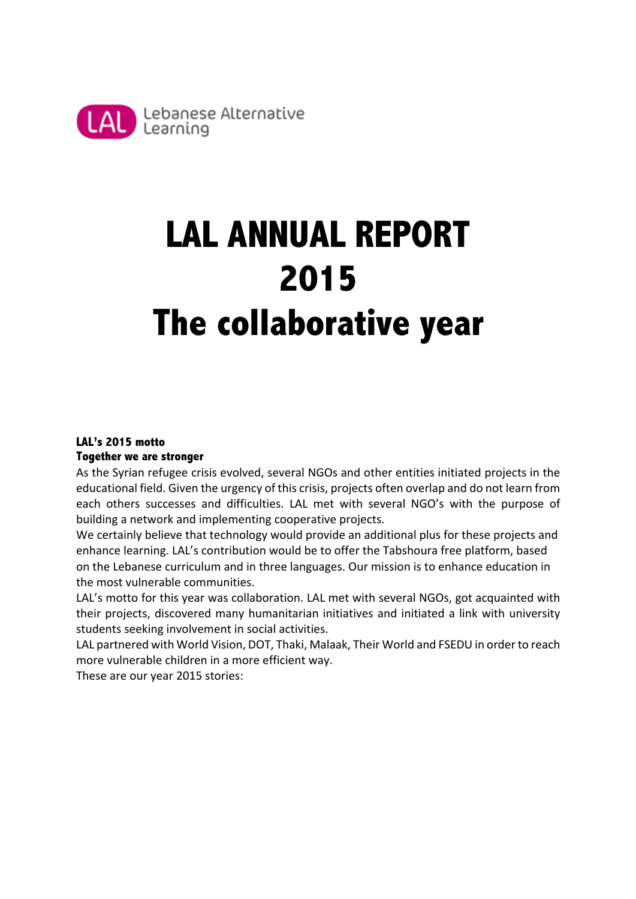

# **LAL ANNUAL REPORT 2015 The collaborative year**

# **LAL's 2015 motto Together we are stronger**

As the Syrian refugee crisis evolved, several NGOs and other entities initiated projects in the educational field. Given the urgency of this crisis, projects often overlap and do not learn from each others successes and difficulties. LAL met with several NGO's with the purpose of building a network and implementing cooperative projects.

We certainly believe that technology would provide an additional plus for these projects and enhance learning. LAL's contribution would be to offer the Tabshoura free platform, based on the Lebanese curriculum and in three languages. Our mission is to enhance education in the most vulnerable communities.

LAL's motto for this year was collaboration. LAL met with several NGOs, got acquainted with their projects, discovered many humanitarian initiatives and initiated a link with university students seeking involvement in social activities.

LAL partnered with World Vision, DOT, Thaki, Malaak, Their World and FSEDU in order to reach more vulnerable children in a more efficient way.

These are our vear 2015 stories: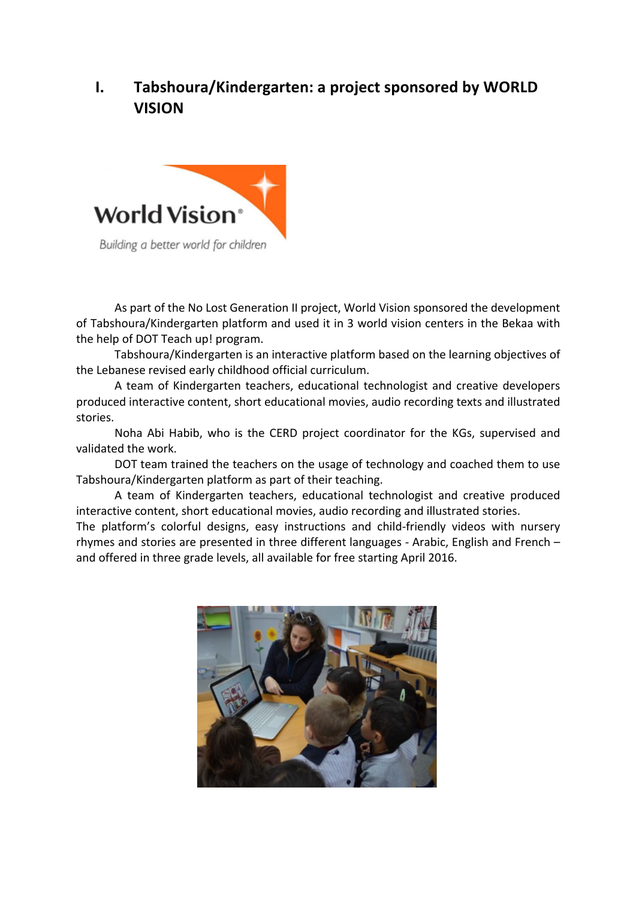# **I.** Tabshoura/Kindergarten: a project sponsored by WORLD **VISION**



As part of the No Lost Generation II project, World Vision sponsored the development of Tabshoura/Kindergarten platform and used it in 3 world vision centers in the Bekaa with the help of DOT Teach up! program.

Tabshoura/Kindergarten is an interactive platform based on the learning objectives of the Lebanese revised early childhood official curriculum.

A team of Kindergarten teachers, educational technologist and creative developers produced interactive content, short educational movies, audio recording texts and illustrated stories. 

Noha Abi Habib, who is the CERD project coordinator for the KGs, supervised and validated the work.

DOT team trained the teachers on the usage of technology and coached them to use Tabshoura/Kindergarten platform as part of their teaching.

A team of Kindergarten teachers, educational technologist and creative produced interactive content, short educational movies, audio recording and illustrated stories.

The platform's colorful designs, easy instructions and child-friendly videos with nursery rhymes and stories are presented in three different languages - Arabic, English and French  $$ and offered in three grade levels, all available for free starting April 2016.

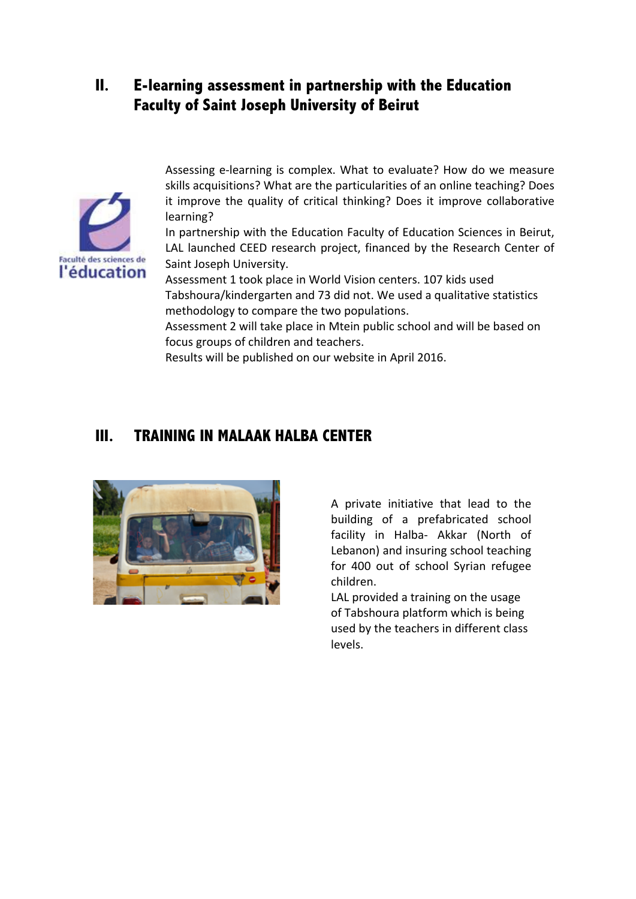# **II. E-learning assessment in partnership with the Education Faculty of Saint Joseph University of Beirut**



Assessing e-learning is complex. What to evaluate? How do we measure skills acquisitions? What are the particularities of an online teaching? Does it improve the quality of critical thinking? Does it improve collaborative learning? 

In partnership with the Education Faculty of Education Sciences in Beirut, LAL launched CEED research project, financed by the Research Center of Saint Joseph University.

Assessment 1 took place in World Vision centers. 107 kids used Tabshoura/kindergarten and 73 did not. We used a qualitative statistics methodology to compare the two populations.

Assessment 2 will take place in Mtein public school and will be based on focus groups of children and teachers.

Results will be published on our website in April 2016.

# **III. TRAINING IN MALAAK HALBA CENTER**



A private initiative that lead to the building of a prefabricated school facility in Halba- Akkar (North of Lebanon) and insuring school teaching for 400 out of school Syrian refugee children. 

LAL provided a training on the usage of Tabshoura platform which is being used by the teachers in different class levels.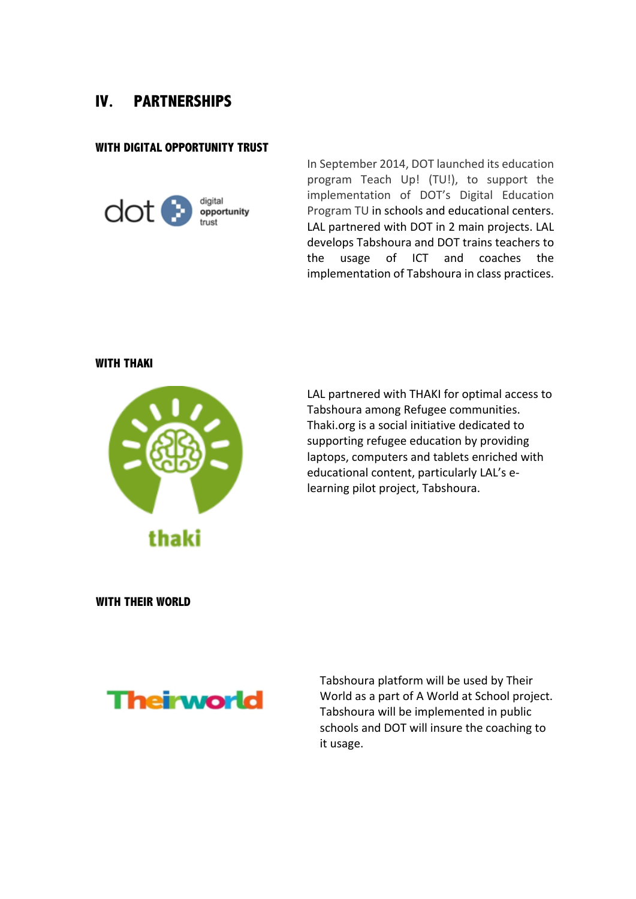# **IV. PARTNERSHIPS**

### **WITH DIGITAL OPPORTUNITY TRUST**



In September 2014, DOT launched its education program Teach Up! (TU!), to support the implementation of DOT's Digital Education Program TU in schools and educational centers. LAL partnered with DOT in 2 main projects. LAL develops Tabshoura and DOT trains teachers to the usage of ICT and coaches the implementation of Tabshoura in class practices.

#### **WITH THAKI**



LAL partnered with THAKI for optimal access to Tabshoura among Refugee communities. Thaki.org is a social initiative dedicated to supporting refugee education by providing laptops, computers and tablets enriched with educational content, particularly LAL's elearning pilot project, Tabshoura.

 **WITH THEIR WORLD** 



Tabshoura platform will be used by Their World as a part of A World at School project. Tabshoura will be implemented in public schools and DOT will insure the coaching to it usage.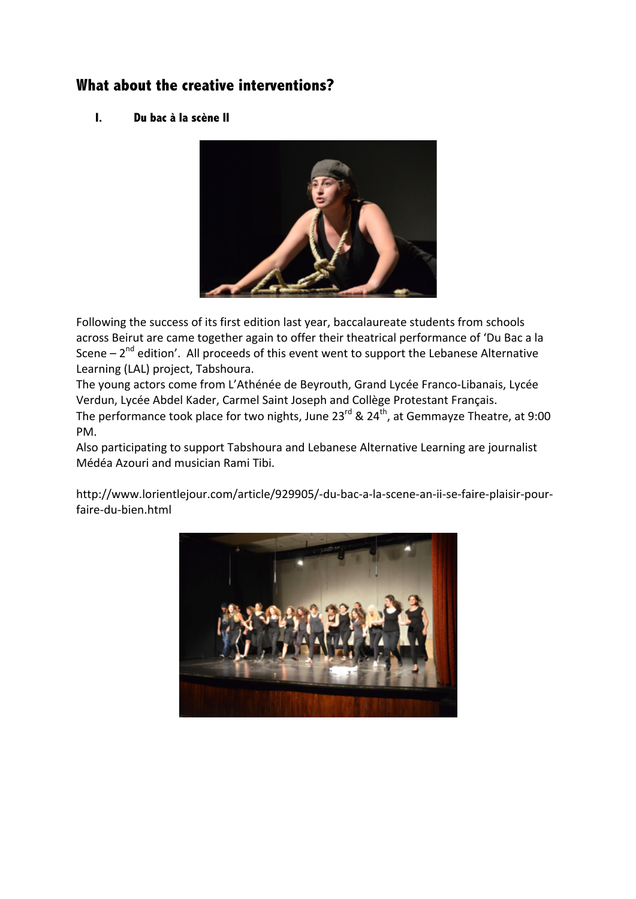# **What about the creative interventions?**

## **I. Du bac à la scène II**



Following the success of its first edition last year, baccalaureate students from schools across Beirut are came together again to offer their theatrical performance of 'Du Bac a la Scene  $-2<sup>nd</sup>$  edition'. All proceeds of this event went to support the Lebanese Alternative Learning (LAL) project, Tabshoura.

The young actors come from L'Athénée de Beyrouth, Grand Lycée Franco-Libanais, Lycée Verdun, Lycée Abdel Kader, Carmel Saint Joseph and Collège Protestant Français.

The performance took place for two nights, June 23<sup>rd</sup> & 24<sup>th</sup>, at Gemmayze Theatre, at 9:00 PM. 

Also participating to support Tabshoura and Lebanese Alternative Learning are journalist Médéa Azouri and musician Rami Tibi.

http://www.lorientlejour.com/article/929905/-du-bac-a-la-scene-an-ii-se-faire-plaisir-pourfaire-du-bien.html